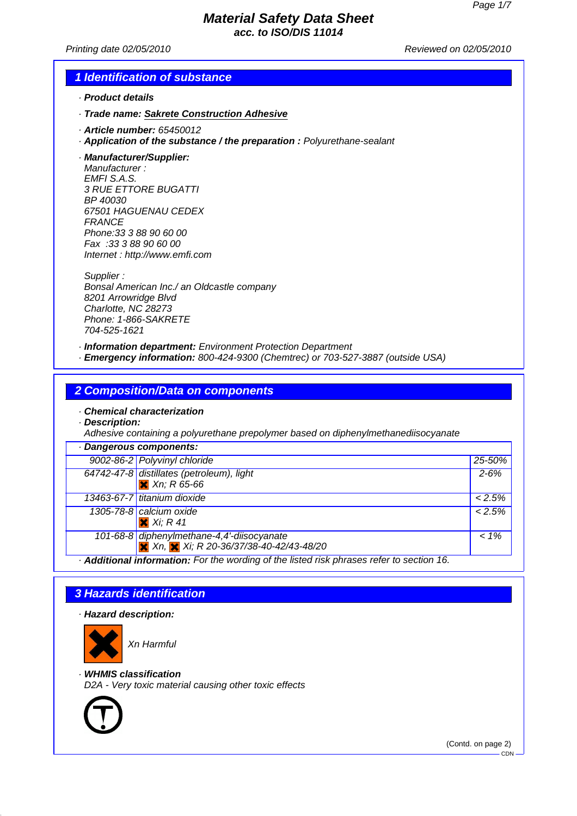**acc. to ISO/DIS 11014**

Printing date 02/05/2010 Reviewed on 02/05/2010

#### **1 Identification of substance**

- · **Product details**
- · **Trade name: Sakrete Construction Adhesive**
- · **Article number:** 65450012
- · **Application of the substance / the preparation :** Polyurethane-sealant
- · **Manufacturer/Supplier:**

Manufacturer : EMFI S.A.S. 3 RUE ETTORE BUGATTI BP 40030 67501 HAGUENAU CEDEX **FRANCE** Phone:33 3 88 90 60 00 Fax :33 3 88 90 60 00 Internet : http://www.emfi.com

Supplier : Bonsal American Inc./ an Oldcastle company 8201 Arrowridge Blvd Charlotte, NC 28273 Phone: 1-866-SAKRETE 704-525-1621

· **Information department:** Environment Protection Department

· **Emergency information:** 800-424-9300 (Chemtrec) or 703-527-3887 (outside USA)

**2 Composition/Data on components**

· **Chemical characterization**

· **Description:**

Adhesive containing a polyurethane prepolymer based on diphenylmethanediisocyanate

| · Dangerous components:                                                                      |           |
|----------------------------------------------------------------------------------------------|-----------|
| 9002-86-2 Polyvinyl chloride                                                                 | 25-50%    |
| 64742-47-8 distillates (petroleum), light<br>$X$ Xn; R 65-66                                 | $2 - 6%$  |
| 13463-67-7 titanium dioxide                                                                  | $< 2.5\%$ |
| 1305-78-8 calcium oxide<br>$X$ Xi; R 41                                                      | $< 2.5\%$ |
| 101-68-8 diphenylmethane-4,4'-diisocyanate<br>X Xn, X Xi; R 20-36/37/38-40-42/43-48/20       | $1\%$     |
| A delitional information. For the wording of the lighed right phropse refer to continue of C |           |

· **Additional information:** For the wording of the listed risk phrases refer to section 16.

#### **3 Hazards identification**

· **Hazard description:**



Xn Harmful

· **WHMIS classification**

D2A - Very toxic material causing other toxic effects



(Contd. on page 2)

CDN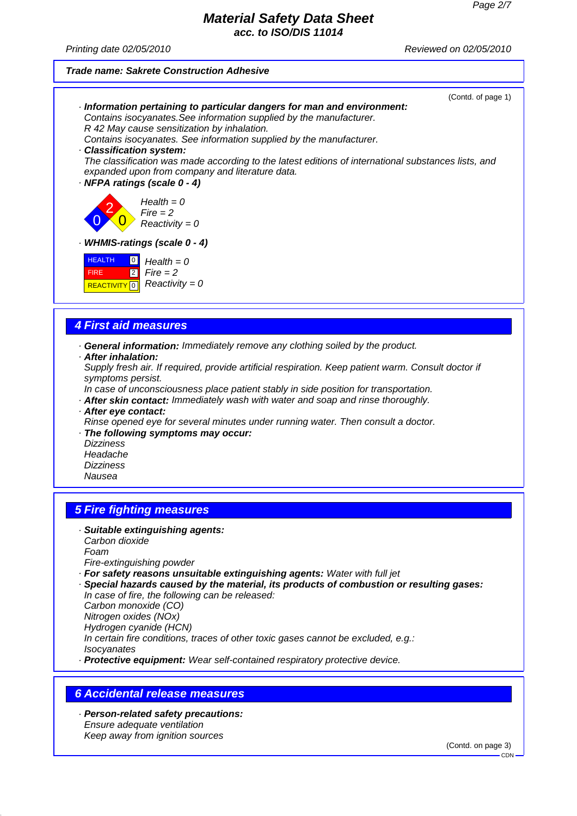**acc. to ISO/DIS 11014**

Printing date 02/05/2010 Reviewed on 02/05/2010

#### **Trade name: Sakrete Construction Adhesive**

Keep away from ignition sources



(Contd. on page 3)

CDN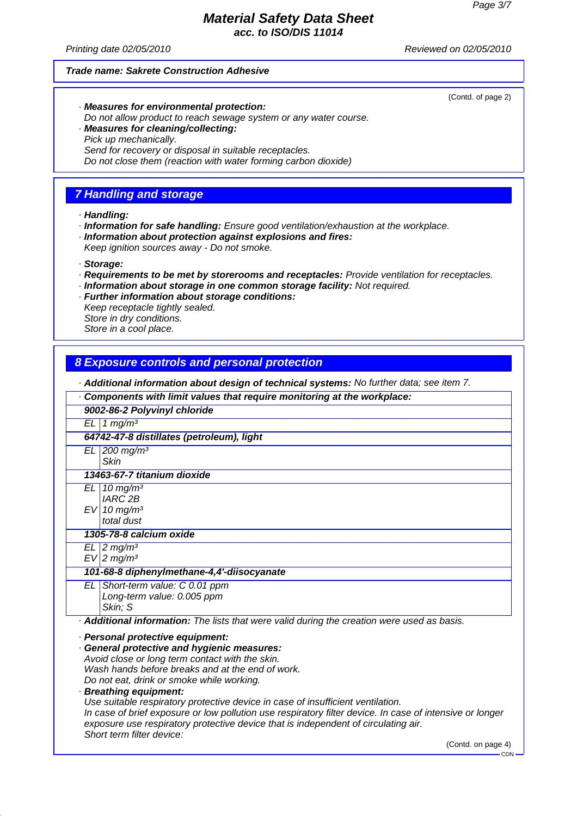**acc. to ISO/DIS 11014**

Printing date 02/05/2010 Reviewed on 02/05/2010

(Contd. of page 2)

#### **Trade name: Sakrete Construction Adhesive**

- · **Measures for environmental protection:** Do not allow product to reach sewage system or any water course. · **Measures for cleaning/collecting:**
- Pick up mechanically.
	- Send for recovery or disposal in suitable receptacles.

Do not close them (reaction with water forming carbon dioxide)

# **7 Handling and storage**

#### · **Handling:**

- · **Information for safe handling:** Ensure good ventilation/exhaustion at the workplace.
- · **Information about protection against explosions and fires:** Keep ignition sources away - Do not smoke.

· **Storage:**

- · **Requirements to be met by storerooms and receptacles:** Provide ventilation for receptacles.
- · **Information about storage in one common storage facility:** Not required.
- · **Further information about storage conditions:** Keep receptacle tightly sealed. Store in dry conditions. Store in a cool place.

# **8 Exposure controls and personal protection**

· **Additional information about design of technical systems:** No further data; see item 7.

· **Components with limit values that require monitoring at the workplace:**

| 9002-86-2 Polyvinyl chloride                                                                             |
|----------------------------------------------------------------------------------------------------------|
| $EL$ 1 mg/m <sup>3</sup>                                                                                 |
|                                                                                                          |
| 64742-47-8 distillates (petroleum), light                                                                |
| $EL$ 200 mg/m <sup>3</sup>                                                                               |
| <b>Skin</b>                                                                                              |
| 13463-67-7 titanium dioxide                                                                              |
| $EL \mid 10 \, mg/m^3$                                                                                   |
| <b>IARC 2B</b>                                                                                           |
| $EV$ 10 mg/m <sup>3</sup>                                                                                |
| total dust                                                                                               |
| 1305-78-8 calcium oxide                                                                                  |
| $EL$ 2 mg/m <sup>3</sup>                                                                                 |
| $EV$ 2 mg/m <sup>3</sup>                                                                                 |
| 101-68-8 diphenylmethane-4,4'-diisocyanate                                                               |
| $EL$ Short-term value: C 0.01 ppm                                                                        |
| Long-term value: 0.005 ppm                                                                               |
| Skin; S                                                                                                  |
| <b>Additional information:</b> The lists that were valid during the creation were used as basis.         |
| · Personal protective equipment:                                                                         |
| · General protective and hygienic measures:                                                              |
| Avoid close or long term contact with the skin.                                                          |
| Wash hands before breaks and at the end of work.                                                         |
| Do not eat, drink or smoke while working.                                                                |
| · Breathing equipment:                                                                                   |
| Use suitable respiratory protective device in case of insufficient ventilation.                          |
| In case of brief exposure or low pollution use respiratory filter device. In case of intensive or longer |
| exposure use respiratory protective device that is independent of circulating air.                       |
| Short term filter device:                                                                                |
| (Contd. on page 4)                                                                                       |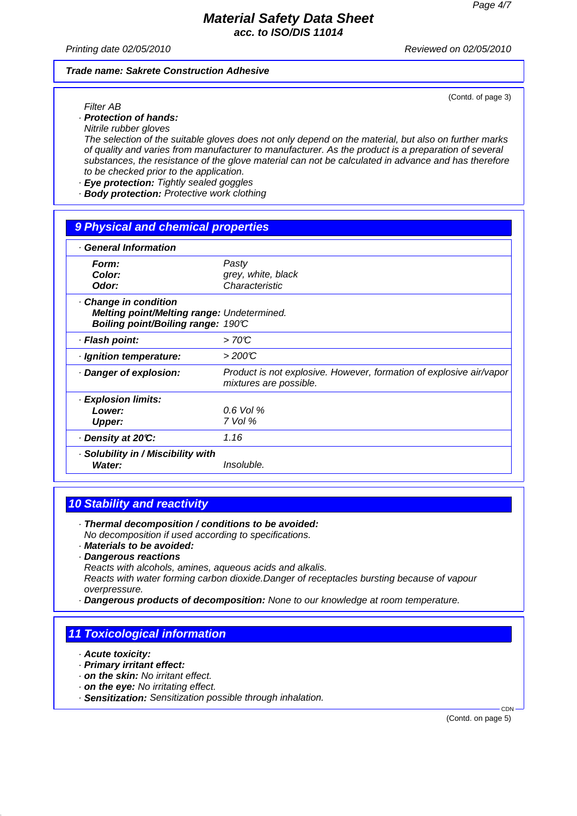#### **Material Safety Data Sheet acc. to ISO/DIS 11014**

Printing date 02/05/2010 Reviewed on 02/05/2010

(Contd. of page 3)

#### **Trade name: Sakrete Construction Adhesive**

Filter AB

· **Protection of hands:** Nitrile rubber gloves

The selection of the suitable gloves does not only depend on the material, but also on further marks of quality and varies from manufacturer to manufacturer. As the product is a preparation of several substances, the resistance of the glove material can not be calculated in advance and has therefore to be checked prior to the application.

- · **Eye protection:** Tightly sealed goggles
- · **Body protection:** Protective work clothing

### **9 Physical and chemical properties**

| <b>General Information</b>                                                                              |                                                                                               |
|---------------------------------------------------------------------------------------------------------|-----------------------------------------------------------------------------------------------|
| Form:<br>Color:<br>Odor:                                                                                | Pasty<br>grey, white, black<br>Characteristic                                                 |
| Change in condition<br>Melting point/Melting range: Undetermined.<br>Boiling point/Boiling range: 190°C |                                                                                               |
| · Flash point:                                                                                          | >70C                                                                                          |
| · Ignition temperature:                                                                                 | >200C                                                                                         |
| · Danger of explosion:                                                                                  | Product is not explosive. However, formation of explosive air/vapor<br>mixtures are possible. |
| · Explosion limits:<br>Lower:<br>Upper:                                                                 | $0.6$ Vol %<br>$7$ Vol $%$                                                                    |
| . Density at 20℃:                                                                                       | 1.16                                                                                          |
| · Solubility in / Miscibility with<br>Water:                                                            | Insoluble.                                                                                    |

# **10 Stability and reactivity**

- · **Thermal decomposition / conditions to be avoided:** No decomposition if used according to specifications.
- · **Materials to be avoided:**
- · **Dangerous reactions**
- Reacts with alcohols, amines, aqueous acids and alkalis.

Reacts with water forming carbon dioxide.Danger of receptacles bursting because of vapour overpressure.

· **Dangerous products of decomposition:** None to our knowledge at room temperature.

## **11 Toxicological information**

- · **Acute toxicity:**
- · **Primary irritant effect:**
- · **on the skin:** No irritant effect.
- · **on the eye:** No irritating effect.
- · **Sensitization:** Sensitization possible through inhalation.

(Contd. on page 5)

**CDN**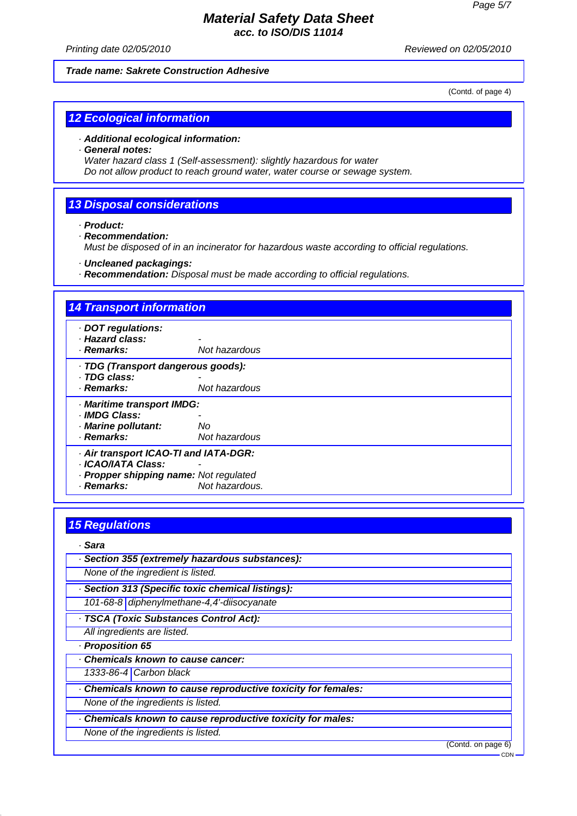### **Material Safety Data Sheet acc. to ISO/DIS 11014**

Printing date 02/05/2010 Reviewed on 02/05/2010

#### **Trade name: Sakrete Construction Adhesive**

(Contd. of page 4)

## **12 Ecological information**

#### · **Additional ecological information:**

#### · **General notes:**

Water hazard class 1 (Self-assessment): slightly hazardous for water Do not allow product to reach ground water, water course or sewage system.

#### **13 Disposal considerations**

· **Product:**

· **Recommendation:** Must be disposed of in an incinerator for hazardous waste according to official regulations.

· **Uncleaned packagings:**

· **Recommendation:** Disposal must be made according to official regulations.

# **14 Transport information** · **DOT regulations:** · **Hazard class:** - · **Remarks:** Not hazardous · **TDG (Transport dangerous goods):** · **TDG class:** - **Not hazardous** · **Maritime transport IMDG:** · **IMDG Class:** - · **Marine pollutant:** No · **Remarks:** Not hazardous · **Air transport ICAO-TI and IATA-DGR:** · **ICAO/IATA Class:** - · **Propper shipping name:** Not regulated · **Remarks:** Not hazardous.

# **15 Regulations**

### · **Sara**

| · Section 355 (extremely hazardous substances):             |                    |
|-------------------------------------------------------------|--------------------|
| None of the ingredient is listed.                           |                    |
| · Section 313 (Specific toxic chemical listings):           |                    |
| 101-68-8 diphenylmethane-4,4'-diisocyanate                  |                    |
| · TSCA (Toxic Substances Control Act):                      |                    |
| All ingredients are listed.                                 |                    |
| - Proposition 65                                            |                    |
| Chemicals known to cause cancer:                            |                    |
| 1333-86-4 Carbon black                                      |                    |
| Chemicals known to cause reproductive toxicity for females: |                    |
| None of the ingredients is listed.                          |                    |
| Chemicals known to cause reproductive toxicity for males:   |                    |
| None of the ingredients is listed.                          |                    |
|                                                             | (Contd. on page 6) |
|                                                             | CDN                |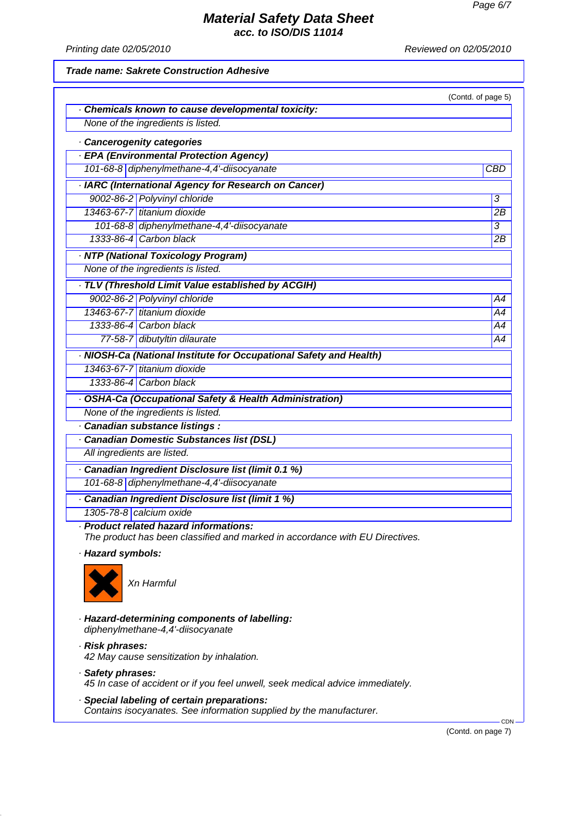**acc. to ISO/DIS 11014**

Printing date 02/05/2010 **Printing** date 02/05/2010

#### **Trade name: Sakrete Construction Adhesive**

|                             | Chemicals known to cause developmental toxicity:                                      | (Contd. of page 5)   |
|-----------------------------|---------------------------------------------------------------------------------------|----------------------|
|                             | None of the ingredients is listed.                                                    |                      |
|                             |                                                                                       |                      |
|                             | Cancerogenity categories                                                              |                      |
|                             | · EPA (Environmental Protection Agency)<br>101-68-8 diphenylmethane-4,4'-diisocyanate | <b>CBD</b>           |
|                             |                                                                                       |                      |
|                             | · IARC (International Agency for Research on Cancer)                                  |                      |
|                             | 9002-86-2 Polyvinyl chloride<br>13463-67-7 titanium dioxide                           | $\overline{3}$<br>2B |
|                             | 101-68-8 diphenylmethane-4,4'-diisocyanate                                            | 3                    |
|                             | 1333-86-4 Carbon black                                                                | 2B                   |
|                             |                                                                                       |                      |
|                             | · NTP (National Toxicology Program)<br>None of the ingredients is listed.             |                      |
|                             |                                                                                       |                      |
|                             | · TLV (Threshold Limit Value established by ACGIH)                                    |                      |
|                             | 9002-86-2 Polyvinyl chloride                                                          | A4                   |
|                             | 13463-67-7 titanium dioxide                                                           | A4                   |
|                             | 1333-86-4 Carbon black<br>77-58-7 dibutyltin dilaurate                                | A4                   |
|                             |                                                                                       | A4                   |
|                             | · NIOSH-Ca (National Institute for Occupational Safety and Health)                    |                      |
|                             | 13463-67-7 titanium dioxide                                                           |                      |
|                             | 1333-86-4 Carbon black                                                                |                      |
|                             | · OSHA-Ca (Occupational Safety & Health Administration)                               |                      |
|                             | None of the ingredients is listed.                                                    |                      |
|                             | · Canadian substance listings :                                                       |                      |
|                             | <b>Canadian Domestic Substances list (DSL)</b>                                        |                      |
| All ingredients are listed. |                                                                                       |                      |
|                             | Canadian Ingredient Disclosure list (limit 0.1 %)                                     |                      |
|                             | 101-68-8 diphenylmethane-4,4'-diisocyanate                                            |                      |
|                             | · Canadian Ingredient Disclosure list (limit 1 %)                                     |                      |
|                             | 1305-78-8 calcium oxide                                                               |                      |
|                             | · Product related hazard informations:                                                |                      |
|                             | The product has been classified and marked in accordance with EU Directives.          |                      |
| · Hazard symbols:           |                                                                                       |                      |
|                             | Xn Harmful                                                                            |                      |
|                             | · Hazard-determining components of labelling:<br>diphenylmethane-4,4'-diisocyanate    |                      |
| · Risk phrases:             | 42 May cause sensitization by inhalation.                                             |                      |
| · Safety phrases:           | 45 In case of accident or if you feel unwell, seek medical advice immediately.        |                      |

· **Special labeling of certain preparations:** Contains isocyanates. See information supplied by the manufacturer.

(Contd. on page 7)

**CDN**